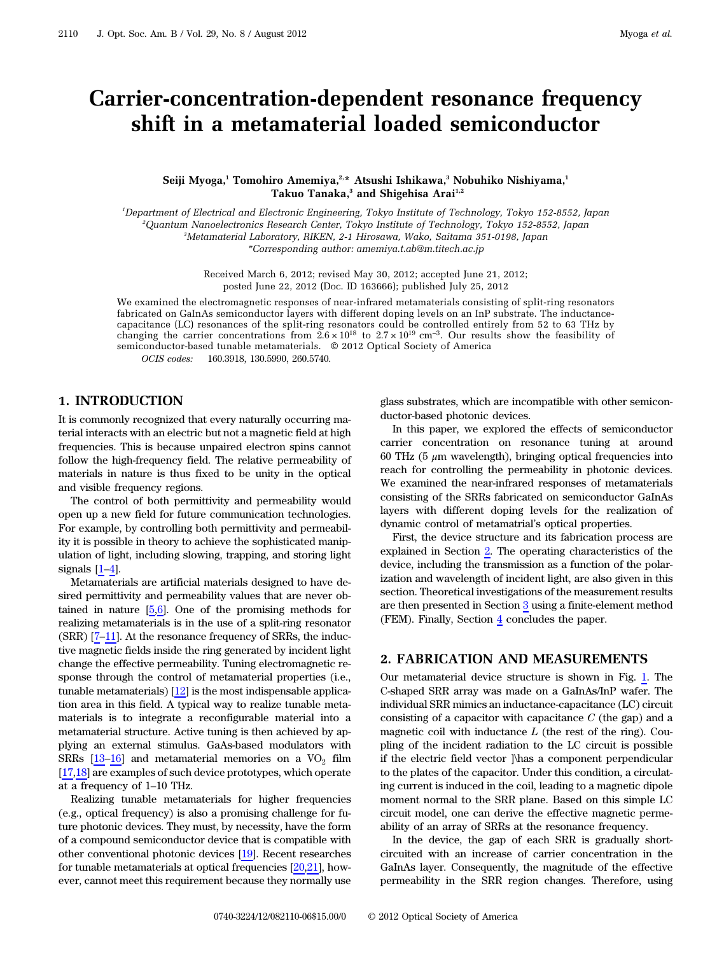# Carrier-concentration-dependent resonance frequency shift in a metamaterial loaded semiconductor

Seiji Myoga,<sup>1</sup> Tomohiro Amemiya,<sup>2,\*</sup> Atsushi Ishikawa,<sup>3</sup> Nobuhiko Nishiyama,<sup>1</sup> Takuo Tanaka, $3$  and Shigehisa Arai<sup>1,2</sup>

 Department of Electrical and Electronic Engineering, Tokyo Institute of Technology, Tokyo 152-8552, Japan Quantum Nanoelectronics Research Center, Tokyo Institute of Technology, Tokyo 152-8552, Japan Metamaterial Laboratory, RIKEN, 2-1 Hirosawa, Wako, Saitama 351-0198, Japan \*Corresponding author: amemiya.t.ab@m.titech.ac.jp

> Received March 6, 2012; revised May 30, 2012; accepted June 21, 2012; posted June 22, 2012 (Doc. ID 163666); published July 25, 2012

We examined the electromagnetic responses of near-infrared metamaterials consisting of split-ring resonators fabricated on GaInAs semiconductor layers with different doping levels on an InP substrate. The inductancecapacitance (LC) resonances of the split-ring resonators could be controlled entirely from 52 to 63 THz by changing the carrier concentrations from 2.6 × 1018 to 2.7 × 1019 cm*<sup>−</sup>*<sup>3</sup>. Our results show the feasibility of semiconductor-based tunable metamaterials. © 2012 Optical Society of America

OCIS codes: 160.3918, 130.5990, 260.5740.

## 1. INTRODUCTION

It is commonly recognized that every naturally occurring material interacts with an electric but not a magnetic field at high frequencies. This is because unpaired electron spins cannot follow the high-frequency field. The relative permeability of materials in nature is thus fixed to be unity in the optical and visible frequency regions.

The control of both permittivity and permeability would open up a new field for future communication technologies. For example, by controlling both permittivity and permeability it is possible in theory to achieve the sophisticated manipulation of light, including slowing, trapping, and storing light signals [[1](#page-5-0)–[4](#page-5-1)].

Metamaterials are artificial materials designed to have desired permittivity and permeability values that are never obtained in nature  $[5,6]$  $[5,6]$ . One of the promising methods for realizing metamaterials is in the use of a split-ring resonator (SRR) [\[7](#page-5-4)–[11](#page-5-5)]. At the resonance frequency of SRRs, the inductive magnetic fields inside the ring generated by incident light change the effective permeability. Tuning electromagnetic response through the control of metamaterial properties (i.e., tunable metamaterials)  $[12]$  $[12]$  is the most indispensable application area in this field. A typical way to realize tunable metamaterials is to integrate a reconfigurable material into a metamaterial structure. Active tuning is then achieved by applying an external stimulus. GaAs-based modulators with SRRs  $[13–16]$  $[13–16]$  $[13–16]$  $[13–16]$  $[13–16]$  and metamaterial memories on a VO<sub>2</sub> film [[17](#page-5-9)[,18](#page-5-10)] are examples of such device prototypes, which operate at a frequency of 1–10 THz.

Realizing tunable metamaterials for higher frequencies (e.g., optical frequency) is also a promising challenge for future photonic devices. They must, by necessity, have the form of a compound semiconductor device that is compatible with other conventional photonic devices [\[19](#page-5-11)]. Recent researches for tunable metamaterials at optical frequencies [[20](#page-5-12)[,21](#page-5-13)], however, cannot meet this requirement because they normally use glass substrates, which are incompatible with other semiconductor-based photonic devices.

In this paper, we explored the effects of semiconductor carrier concentration on resonance tuning at around 60 THz (5  $\mu$ m wavelength), bringing optical frequencies into reach for controlling the permeability in photonic devices. We examined the near-infrared responses of metamaterials consisting of the SRRs fabricated on semiconductor GaInAs layers with different doping levels for the realization of dynamic control of metamatrial's optical properties.

First, the device structure and its fabrication process are explained in Section [2](#page-0-0). The operating characteristics of the device, including the transmission as a function of the polarization and wavelength of incident light, are also given in this section. Theoretical investigations of the measurement results are then presented in Section [3](#page-1-0) using a finite-element method (FEM). Finally, Section [4](#page-5-14) concludes the paper.

## <span id="page-0-0"></span>2. FABRICATION AND MEASUREMENTS

Our metamaterial device structure is shown in Fig. [1.](#page-1-1) The C-shaped SRR array was made on a GaInAs/InP wafer. The individual SRR mimics an inductance-capacitance (LC) circuit consisting of a capacitor with capacitance  $C$  (the gap) and a magnetic coil with inductance  $L$  (the rest of the ring). Coupling of the incident radiation to the LC circuit is possible if the electric field vector ]\has a component perpendicular to the plates of the capacitor. Under this condition, a circulating current is induced in the coil, leading to a magnetic dipole moment normal to the SRR plane. Based on this simple LC circuit model, one can derive the effective magnetic permeability of an array of SRRs at the resonance frequency.

In the device, the gap of each SRR is gradually shortcircuited with an increase of carrier concentration in the GaInAs layer. Consequently, the magnitude of the effective permeability in the SRR region changes. Therefore, using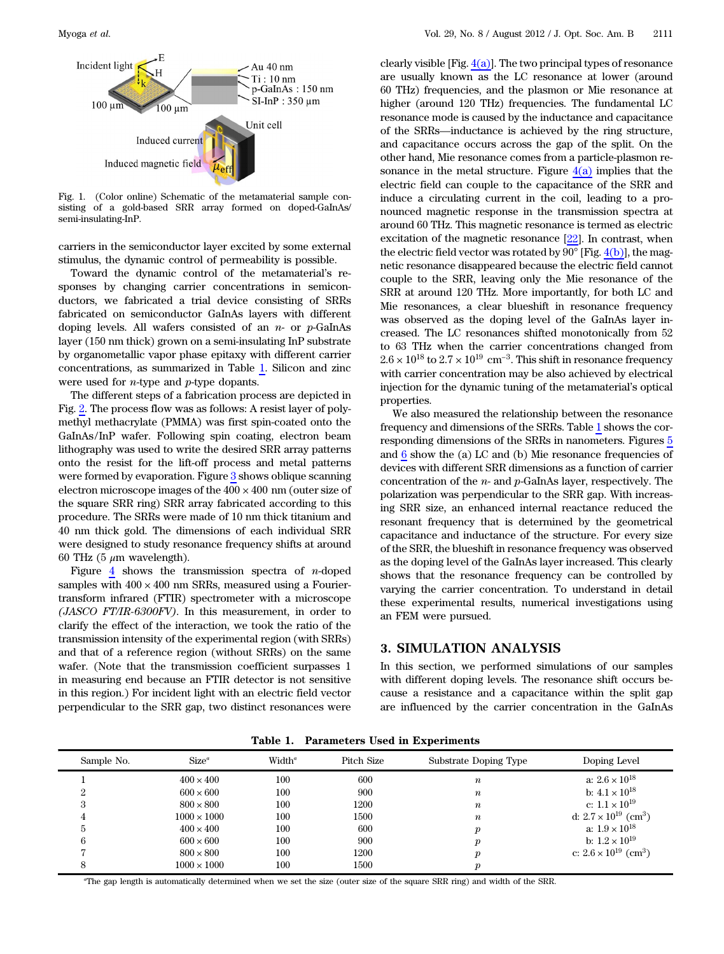<span id="page-1-1"></span>

Fig. 1. (Color online) Schematic of the metamaterial sample consisting of a gold-based SRR array formed on doped-GaInAs/ semi-insulating-InP.

carriers in the semiconductor layer excited by some external stimulus, the dynamic control of permeability is possible.

Toward the dynamic control of the metamaterial's responses by changing carrier concentrations in semiconductors, we fabricated a trial device consisting of SRRs fabricated on semiconductor GaInAs layers with different doping levels. All wafers consisted of an  $n$ - or  $p$ -GaInAs layer (150 nm thick) grown on a semi-insulating InP substrate by organometallic vapor phase epitaxy with different carrier concentrations, as summarized in Table [1](#page-1-2). Silicon and zinc were used for n-type and p-type dopants.

The different steps of a fabrication process are depicted in Fig. [2.](#page-2-0) The process flow was as follows: A resist layer of polymethyl methacrylate (PMMA) was first spin-coated onto the GaInAs/InP wafer. Following spin coating, electron beam lithography was used to write the desired SRR array patterns onto the resist for the lift-off process and metal patterns were formed by evaporation. Figure [3](#page-2-1) shows oblique scanning electron microscope images of the  $400 \times 400$  nm (outer size of the square SRR ring) SRR array fabricated according to this procedure. The SRRs were made of 10 nm thick titanium and 40 nm thick gold. The dimensions of each individual SRR were designed to study resonance frequency shifts at around 60 THz (5  $\mu$ m wavelength).

Figure [4](#page-2-2) shows the transmission spectra of  $n$ -doped samples with  $400 \times 400$  nm SRRs, measured using a Fouriertransform infrared (FTIR) spectrometer with a microscope (JASCO FT/IR-6300FV). In this measurement, in order to clarify the effect of the interaction, we took the ratio of the transmission intensity of the experimental region (with SRRs) and that of a reference region (without SRRs) on the same wafer. (Note that the transmission coefficient surpasses 1 in measuring end because an FTIR detector is not sensitive in this region.) For incident light with an electric field vector perpendicular to the SRR gap, two distinct resonances were

clearly visible [Fig.  $4(a)$ ]. The two principal types of resonance are usually known as the LC resonance at lower (around 60 THz) frequencies, and the plasmon or Mie resonance at higher (around 120 THz) frequencies. The fundamental LC resonance mode is caused by the inductance and capacitance of the SRRs—inductance is achieved by the ring structure, and capacitance occurs across the gap of the split. On the other hand, Mie resonance comes from a particle-plasmon resonance in the metal structure. Figure  $4(a)$  implies that the electric field can couple to the capacitance of the SRR and induce a circulating current in the coil, leading to a pronounced magnetic response in the transmission spectra at around 60 THz. This magnetic resonance is termed as electric excitation of the magnetic resonance [\[22](#page-5-15)]. In contrast, when the electric field vector was rotated by  $90^{\circ}$  [Fig. [4\(b\)\]](#page-2-2), the magnetic resonance disappeared because the electric field cannot couple to the SRR, leaving only the Mie resonance of the SRR at around 120 THz. More importantly, for both LC and Mie resonances, a clear blueshift in resonance frequency was observed as the doping level of the GaInAs layer increased. The LC resonances shifted monotonically from 52 to 63 THz when the carrier concentrations changed from  $2.6 \times 10^{18}$  to  $2.7 \times 10^{19}$  cm<sup>-3</sup>. This shift in resonance frequency with carrier concentration may be also achieved by electrical injection for the dynamic tuning of the metamaterial's optical properties.

We also measured the relationship between the resonance frequency and dimensions of the SRRs. Table [1](#page-1-2) shows the corresponding dimensions of the SRRs in nanometers. Figures [5](#page-2-3) and  $6$  show the (a) LC and (b) Mie resonance frequencies of devices with different SRR dimensions as a function of carrier concentration of the  $n$ - and  $p$ -GaInAs layer, respectively. The polarization was perpendicular to the SRR gap. With increasing SRR size, an enhanced internal reactance reduced the resonant frequency that is determined by the geometrical capacitance and inductance of the structure. For every size of the SRR, the blueshift in resonance frequency was observed as the doping level of the GaInAs layer increased. This clearly shows that the resonance frequency can be controlled by varying the carrier concentration. To understand in detail these experimental results, numerical investigations using an FEM were pursued.

## <span id="page-1-0"></span>3. SIMULATION ANALYSIS

In this section, we performed simulations of our samples with different doping levels. The resonance shift occurs because a resistance and a capacitance within the split gap are influenced by the carrier concentration in the GaInAs

<span id="page-1-2"></span>

| Sample No.     | $Size^a$           | Width <sup>a</sup> | Pitch Size | Substrate Doping Type | Doping Level                               |
|----------------|--------------------|--------------------|------------|-----------------------|--------------------------------------------|
|                | $400 \times 400$   | 100                | 600        | $\boldsymbol{n}$      | a: $2.6 \times 10^{18}$                    |
| $\overline{2}$ | $600 \times 600$   | 100                | 900        | $\boldsymbol{n}$      | b: $4.1 \times 10^{18}$                    |
| 3              | $800 \times 800$   | 100                | 1200       | $\boldsymbol{n}$      | c: $1.1 \times 10^{19}$                    |
| 4              | $1000 \times 1000$ | 100                | 1500       | $\boldsymbol{n}$      | d: $2.7 \times 10^{19}$ (cm <sup>3</sup> ) |
| 5              | $400 \times 400$   | 100                | 600        |                       | a: $1.9 \times 10^{18}$                    |
| 6              | $600 \times 600$   | 100                | 900        |                       | b: $1.2 \times 10^{19}$                    |
|                | $800 \times 800$   | 100                | 1200       | $\boldsymbol{v}$      | c: $2.6 \times 10^{19}$ (cm <sup>3</sup> ) |
| 8              | $1000 \times 1000$ | 100                | 1500       |                       |                                            |

Table 1. Parameters Used in Experiments

a The gap length is automatically determined when we set the size (outer size of the square SRR ring) and width of the SRR.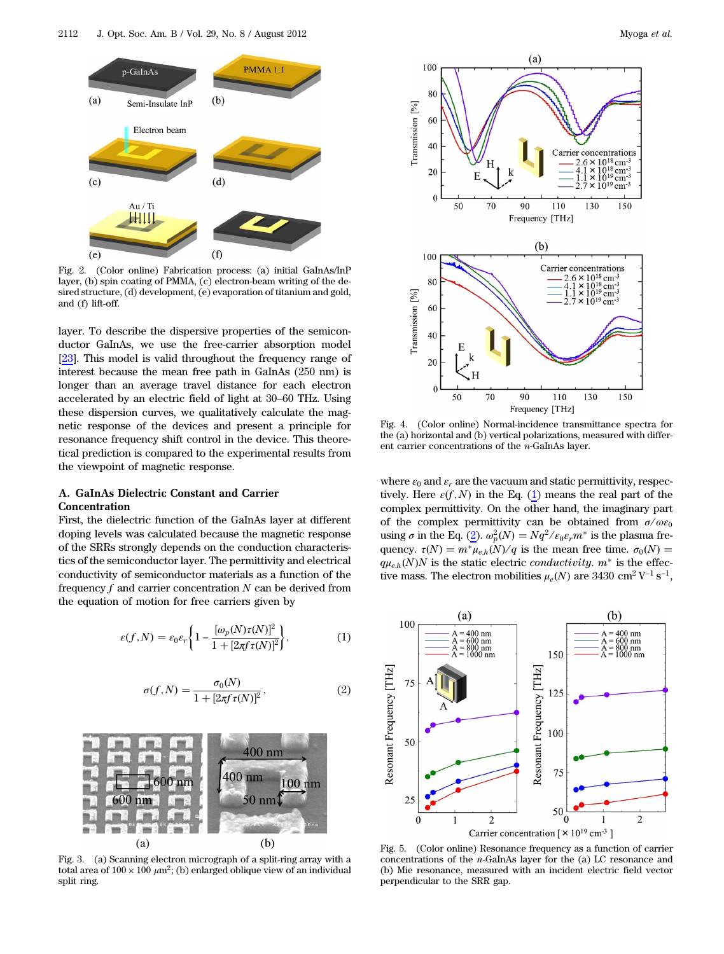<span id="page-2-0"></span>

Fig. 2. (Color online) Fabrication process: (a) initial GaInAs/InP layer, (b) spin coating of PMMA, (c) electron-beam writing of the desired structure, (d) development, (e) evaporation of titanium and gold, and (f) lift-off.

layer. To describe the dispersive properties of the semiconductor GaInAs, we use the free-carrier absorption model [[23\]](#page-5-16). This model is valid throughout the frequency range of interest because the mean free path in GaInAs (250 nm) is longer than an average travel distance for each electron accelerated by an electric field of light at 30–60 THz. Using these dispersion curves, we qualitatively calculate the magnetic response of the devices and present a principle for resonance frequency shift control in the device. This theoretical prediction is compared to the experimental results from the viewpoint of magnetic response.

#### A. GaInAs Dielectric Constant and Carrier Concentration

First, the dielectric function of the GaInAs layer at different doping levels was calculated because the magnetic response of the SRRs strongly depends on the conduction characteristics of the semiconductor layer. The permittivity and electrical conductivity of semiconductor materials as a function of the frequency  $f$  and carrier concentration  $N$  can be derived from the equation of motion for free carriers given by

<span id="page-2-5"></span><span id="page-2-4"></span>
$$
\varepsilon(f,N) = \varepsilon_0 \varepsilon_r \bigg\{ 1 - \frac{[\omega_p(N)\tau(N)]^2}{1 + [2\pi f \tau(N)]^2} \bigg\},\tag{1}
$$

$$
\sigma(f, N) = \frac{\sigma_0(N)}{1 + [2\pi f \tau(N)]^2},
$$
\n(2)

<span id="page-2-1"></span>

Fig. 3. (a) Scanning electron micrograph of a split-ring array with a total area of  $100 \times 100 \ \mu m^2$ ; (b) enlarged oblique view of an individual split ring.

<span id="page-2-2"></span>

Fig. 4. (Color online) Normal-incidence transmittance spectra for the (a) horizontal and (b) vertical polarizations, measured with different carrier concentrations of the n-GaInAs layer.

where  $\varepsilon_0$  and  $\varepsilon_r$  are the vacuum and static permittivity, respectively. Here  $\varepsilon(f, N)$  in the Eq. [\(1\)](#page-2-4) means the real part of the complex permittivity. On the other hand, the imaginary part of the complex permittivity can be obtained from  $\sigma/\omega\varepsilon_0$ using  $\sigma$  in the Eq. [\(2\)](#page-2-5).  $\omega_p^2(N) = Nq^2/\epsilon_0 \epsilon_r m^*$  is the plasma frequency.  $\tau(N) = m^* \mu_{e,h}(N)/q$  is the mean free time.  $\sigma_0(N) =$  $q\mu_{e,h}(N)N$  is the static electric *conductivity*.  $m^*$  is the effective mass. The electron mobilities  $\mu_e(N)$  are 3430 cm<sup>2</sup> V<sup>-1</sup> s<sup>-1</sup>,

<span id="page-2-3"></span>

Fig. 5. (Color online) Resonance frequency as a function of carrier concentrations of the n-GaInAs layer for the (a) LC resonance and (b) Mie resonance, measured with an incident electric field vector perpendicular to the SRR gap.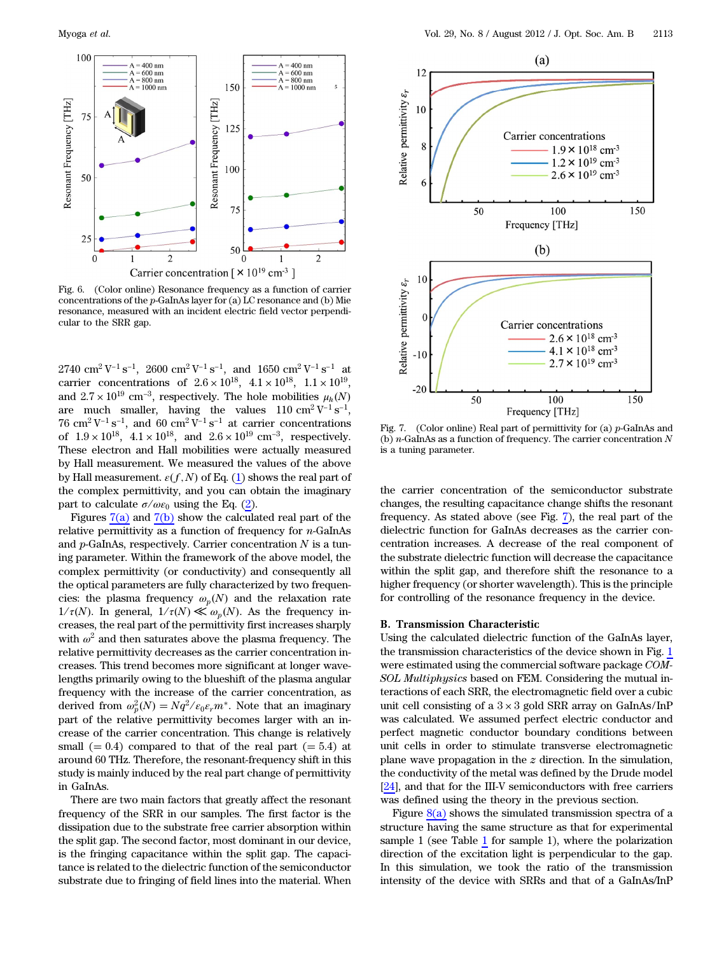<span id="page-3-0"></span>

Fig. 6. (Color online) Resonance frequency as a function of carrier concentrations of the p-GaInAs layer for (a) LC resonance and (b) Mie resonance, measured with an incident electric field vector perpendicular to the SRR gap.

2740 cm<sup>2</sup> V<sup>-1</sup> s<sup>-1</sup>, 2600 cm<sup>2</sup> V<sup>-1</sup> s<sup>-1</sup>, and 1650 cm<sup>2</sup> V<sup>-1</sup> s<sup>-1</sup> at carrier concentrations of  $2.6 \times 10^{18}$ ,  $4.1 \times 10^{18}$ ,  $1.1 \times 10^{19}$ , and  $2.7 \times 10^{19}$  cm<sup>-3</sup>, respectively. The hole mobilities  $\mu_h(N)$ are much smaller, having the values  $110 \text{ cm}^2 \text{ V}^{-1} \text{ s}^{-1}$ , 76 cm<sup>2</sup> V<sup>-1</sup> s<sup>-1</sup>, and 60 cm<sup>2</sup> V<sup>-1</sup> s<sup>-1</sup> at carrier concentrations of  $1.9 \times 10^{18}$ ,  $4.1 \times 10^{18}$ , and  $2.6 \times 10^{19}$  cm<sup>-3</sup>, respectively. These electron and Hall mobilities were actually measured by Hall measurement. We measured the values of the above by Hall measurement.  $\varepsilon(f, N)$  of Eq. [\(1\)](#page-2-4) shows the real part of the complex permittivity, and you can obtain the imaginary part to calculate  $\sigma/\omega \epsilon_0$  using the Eq. [\(2\)](#page-2-5).

Figures [7\(a\)](#page-3-1) and [7\(b\)](#page-3-1) show the calculated real part of the relative permittivity as a function of frequency for  $n$ -GaInAs and  $p$ -GaInAs, respectively. Carrier concentration  $N$  is a tuning parameter. Within the framework of the above model, the complex permittivity (or conductivity) and consequently all the optical parameters are fully characterized by two frequencies: the plasma frequency  $\omega_p(N)$  and the relaxation rate  $1/\tau(N)$ . In general,  $1/\tau(N) \ll \omega_p(N)$ . As the frequency increases, the real part of the permittivity first increases sharply with  $\omega^2$  and then saturates above the plasma frequency. The relative permittivity decreases as the carrier concentration increases. This trend becomes more significant at longer wavelengths primarily owing to the blueshift of the plasma angular frequency with the increase of the carrier concentration, as derived from  $\omega_p^2(N) = Nq^2/\epsilon_0 \epsilon_r m^*$ . Note that an imaginary part of the relative permittivity becomes larger with an increase of the carrier concentration. This change is relatively small  $( = 0.4)$  compared to that of the real part  $( = 5.4)$  at around 60 THz. Therefore, the resonant-frequency shift in this study is mainly induced by the real part change of permittivity in GaInAs.

There are two main factors that greatly affect the resonant frequency of the SRR in our samples. The first factor is the dissipation due to the substrate free carrier absorption within the split gap. The second factor, most dominant in our device, is the fringing capacitance within the split gap. The capacitance is related to the dielectric function of the semiconductor substrate due to fringing of field lines into the material. When

<span id="page-3-1"></span>

Fig. 7. (Color online) Real part of permittivity for (a)  $p$ -GaInAs and (b)  $n$ -GaInAs as a function of frequency. The carrier concentration  $N$ is a tuning parameter.

the carrier concentration of the semiconductor substrate changes, the resulting capacitance change shifts the resonant frequency. As stated above (see Fig. [7](#page-3-1)), the real part of the dielectric function for GaInAs decreases as the carrier concentration increases. A decrease of the real component of the substrate dielectric function will decrease the capacitance within the split gap, and therefore shift the resonance to a higher frequency (or shorter wavelength). This is the principle for controlling of the resonance frequency in the device.

#### B. Transmission Characteristic

Using the calculated dielectric function of the GaInAs layer, the transmission characteristics of the device shown in Fig. [1](#page-1-1) were estimated using the commercial software package COM-SOL Multiphysics based on FEM. Considering the mutual interactions of each SRR, the electromagnetic field over a cubic unit cell consisting of a  $3 \times 3$  gold SRR array on GaInAs/InP was calculated. We assumed perfect electric conductor and perfect magnetic conductor boundary conditions between unit cells in order to stimulate transverse electromagnetic plane wave propagation in the z direction. In the simulation, the conductivity of the metal was defined by the Drude model [[24\]](#page-5-17), and that for the III-V semiconductors with free carriers was defined using the theory in the previous section.

Figure  $8(a)$  shows the simulated transmission spectra of a structure having the same structure as that for experimental sample [1](#page-1-2) (see Table 1 for sample 1), where the polarization direction of the excitation light is perpendicular to the gap. In this simulation, we took the ratio of the transmission intensity of the device with SRRs and that of a GaInAs/InP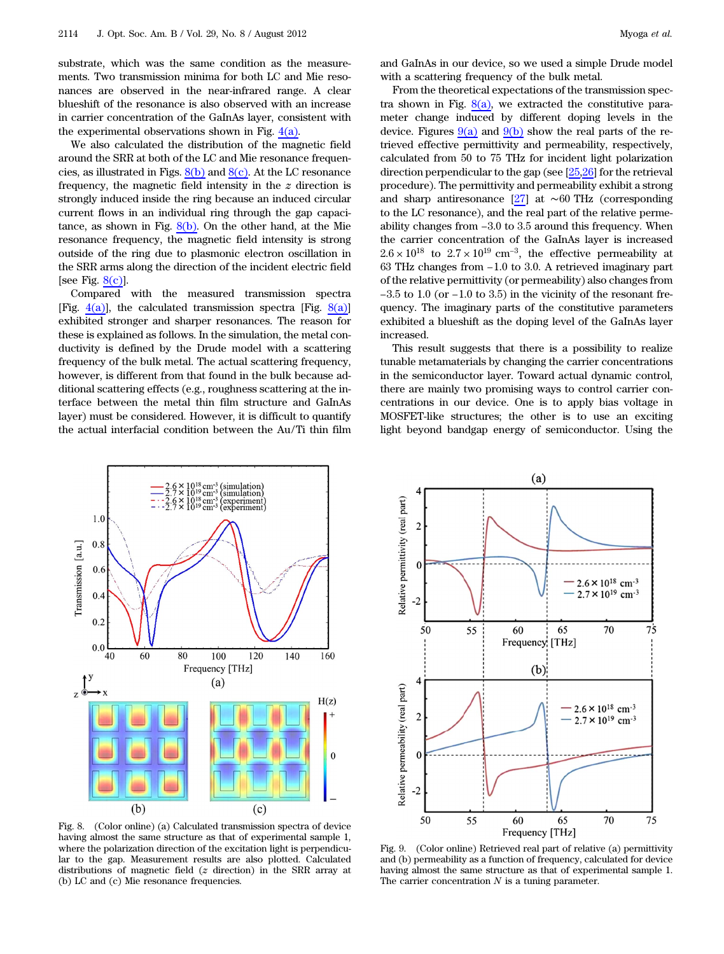substrate, which was the same condition as the measurements. Two transmission minima for both LC and Mie resonances are observed in the near-infrared range. A clear blueshift of the resonance is also observed with an increase in carrier concentration of the GaInAs layer, consistent with the experimental observations shown in Fig.  $4(a)$ .

We also calculated the distribution of the magnetic field around the SRR at both of the LC and Mie resonance frequencies, as illustrated in Figs.  $8(b)$  and  $8(c)$ . At the LC resonance frequency, the magnetic field intensity in the  $z$  direction is strongly induced inside the ring because an induced circular current flows in an individual ring through the gap capacitance, as shown in Fig. [8\(b\)](#page-4-0). On the other hand, at the Mie resonance frequency, the magnetic field intensity is strong outside of the ring due to plasmonic electron oscillation in the SRR arms along the direction of the incident electric field [see Fig.  $8(c)$ ].

Compared with the measured transmission spectra [Fig.  $4(a)$ ], the calculated transmission spectra [Fig.  $8(a)$ ] exhibited stronger and sharper resonances. The reason for these is explained as follows. In the simulation, the metal conductivity is defined by the Drude model with a scattering frequency of the bulk metal. The actual scattering frequency, however, is different from that found in the bulk because additional scattering effects (e.g., roughness scattering at the interface between the metal thin film structure and GaInAs layer) must be considered. However, it is difficult to quantify the actual interfacial condition between the Au/Ti thin film

and GaInAs in our device, so we used a simple Drude model with a scattering frequency of the bulk metal.

From the theoretical expectations of the transmission spectra shown in Fig.  $8(a)$ , we extracted the constitutive parameter change induced by different doping levels in the device. Figures  $9(a)$  and  $9(b)$  show the real parts of the retrieved effective permittivity and permeability, respectively, calculated from 50 to 75 THz for incident light polarization direction perpendicular to the gap (see [[25,](#page-5-18)[26\]](#page-5-19) for the retrieval procedure). The permittivity and permeability exhibit a strong and sharp antiresonance [\[27](#page-5-20)] at ∼60 THz (corresponding to the LC resonance), and the real part of the relative permeability changes from −3.0 to 3.5 around this frequency. When the carrier concentration of the GaInAs layer is increased  $2.6 \times 10^{18}$  to  $2.7 \times 10^{19}$  cm<sup>-3</sup>, the effective permeability at 63 THz changes from −1.0 to 3.0. A retrieved imaginary part of the relative permittivity (or permeability) also changes from  $-3.5$  to 1.0 (or  $-1.0$  to 3.5) in the vicinity of the resonant frequency. The imaginary parts of the constitutive parameters exhibited a blueshift as the doping level of the GaInAs layer increased.

This result suggests that there is a possibility to realize tunable metamaterials by changing the carrier concentrations in the semiconductor layer. Toward actual dynamic control, there are mainly two promising ways to control carrier concentrations in our device. One is to apply bias voltage in MOSFET-like structures; the other is to use an exciting light beyond bandgap energy of semiconductor. Using the

<span id="page-4-0"></span>

Fig. 8. (Color online) (a) Calculated transmission spectra of device having almost the same structure as that of experimental sample 1, where the polarization direction of the excitation light is perpendicular to the gap. Measurement results are also plotted. Calculated distributions of magnetic field (z direction) in the SRR array at (b) LC and (c) Mie resonance frequencies.

<span id="page-4-1"></span>

Fig. 9. (Color online) Retrieved real part of relative (a) permittivity and (b) permeability as a function of frequency, calculated for device having almost the same structure as that of experimental sample 1. The carrier concentration  $N$  is a tuning parameter.